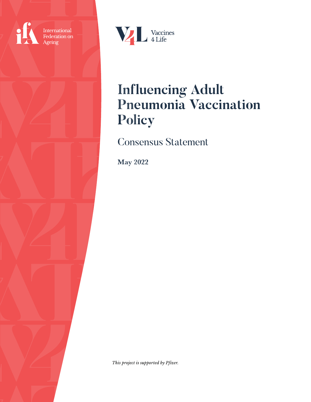

International<br>Federation on Ageing



# **Influencing Adult Pneumonia Vaccination Policy**

Consensus Statement

May 2022

*This project is supported by Pfizer.*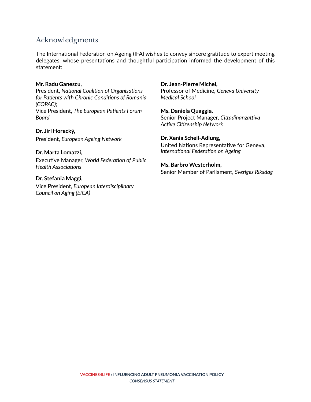# Acknowledgments

The International Federation on Ageing (IFA) wishes to convey sincere gratitude to expert meeting delegates, whose presentations and thoughtful participation informed the development of this statement:

#### **Mr. Radu Ganescu,**

President, *National Coalition of Organisations for Patients with Chronic Conditions of Romania (COPAC);* Vice President, *The European Patients Forum Board*

**Dr. Jirí Horecký,** President, *European Ageing Network*

#### **Dr. Marta Lomazzi,**

Executive Manager, *World Federation of Public Health Associations*

#### **Dr. Stefania Maggi,**

Vice President*, European Interdisciplinary Council on Aging (EICA)*

#### **Dr. Jean-Pierre Michel,**

Professor of Medicine, *Geneva University Medical School*

**Ms. Daniela Quaggia,**  Senior Project Manager, *Cittadinanzattiva-Active Citizenship Network*

#### **Dr. Xenia Scheil-Adlung,**

United Nations Representative for Geneva, *International Federation on Ageing*

#### **Ms. Barbro Westerholm,**

Senior Member of Parliament, *Sveriges Riksdag*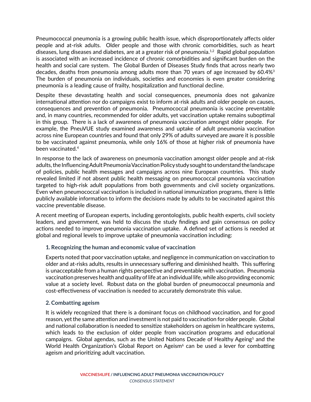Pneumococcal pneumonia is a growing public health issue, which disproportionately affects older people and at-risk adults. Older people and those with chronic comorbidities, such as heart diseases, lung diseases and diabetes, are at a greater risk of pneumonia.<sup>1,2</sup> Rapid global population is associated with an increased incidence of chronic comorbidities and significant burden on the health and social care system. The Global Burden of Diseases Study finds that across nearly two decades, deaths from pneumonia among adults more than 70 years of age increased by  $60.4\%$ <sup>3</sup> The burden of pneumonia on individuals, societies and economies is even greater considering pneumonia is a leading cause of frailty, hospitalization and functional decline.

Despite these devastating health and social consequences, pneumonia does not galvanize international attention nor do campaigns exist to inform at-risk adults and older people on causes, consequences and prevention of pneumonia. Pneumococcal pneumonia is vaccine preventable and, in many countries, recommended for older adults, yet vaccination uptake remains suboptimal in this group. There is a lack of awareness of pneumonia vaccination amongst older people. For example, the PneuVUE study examined awareness and uptake of adult pneumonia vaccination across nine European countries and found that only 29% of adults surveyed are aware it is possible to be vaccinated against pneumonia, while only 16% of those at higher risk of pneumonia have been vaccinated.4

In response to the lack of awareness on pneumonia vaccination amongst older people and at-risk adults, the Influencing Adult Pneumonia Vaccination Policy study sought to understand the landscape of policies, public health messages and campaigns across nine European countries. This study revealed limited if not absent public health messaging on pneumococcal pneumonia vaccination targeted to high-risk adult populations from both governments and civil society organizations. Even when pneumococcal vaccination is included in national immunization programs, there is little publicly available information to inform the decisions made by adults to be vaccinated against this vaccine preventable disease.

A recent meeting of European experts, including gerontologists, public health experts, civil society leaders, and government, was held to discuss the study findings and gain consensus on policy actions needed to improve pneumonia vaccination uptake. A defined set of actions is needed at global and regional levels to improve uptake of pneumonia vaccination including:

## **1. Recognizing the human and economic value of vaccination**

Experts noted that poor vaccination uptake, and negligence in communication on vaccination to older and at-risks adults, results in unnecessary suffering and diminished health. This suffering is unacceptable from a human rights perspective and preventable with vaccination. Pneumonia vaccination preserves health and quality of life at an individual life, while also providing economic value at a society level. Robust data on the global burden of pneumococcal pneumonia and cost-effectiveness of vaccination is needed to accurately demonstrate this value.

## **2. Combatting ageism**

It is widely recognized that there is a dominant focus on childhood vaccination, and for good reason, yet the same attention and investment is not paid to vaccination for older people. Global and national collaboration is needed to sensitize stakeholders on ageism in healthcare systems, which leads to the exclusion of older people from vaccination programs and educational campaigns. Global agendas, such as the United Nations Decade of Healthy Ageing<sup>5</sup> and the World Health Organization's Global Report on Ageism<sup>6</sup> can be used a lever for combatting ageism and prioritizing adult vaccination.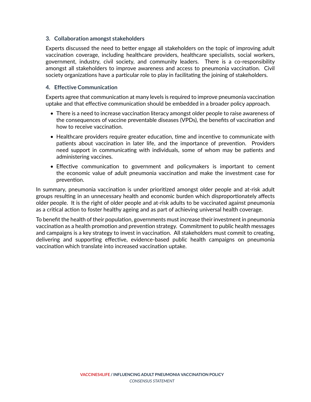### **3. Collaboration amongst stakeholders**

Experts discussed the need to better engage all stakeholders on the topic of improving adult vaccination coverage, including healthcare providers, healthcare specialists, social workers, government, industry, civil society, and community leaders. There is a co-responsibility amongst all stakeholders to improve awareness and access to pneumonia vaccination. Civil society organizations have a particular role to play in facilitating the joining of stakeholders.

#### **4. Effective Communication**

Experts agree that communication at many levels is required to improve pneumonia vaccination uptake and that effective communication should be embedded in a broader policy approach.

- There is a need to increase vaccination literacy amongst older people to raise awareness of the consequences of vaccine preventable diseases (VPDs), the benefits of vaccination and how to receive vaccination.
- Healthcare providers require greater education, time and incentive to communicate with patients about vaccination in later life, and the importance of prevention. Providers need support in communicating with individuals, some of whom may be patients and administering vaccines.
- Effective communication to government and policymakers is important to cement the economic value of adult pneumonia vaccination and make the investment case for prevention.

In summary, pneumonia vaccination is under prioritized amongst older people and at-risk adult groups resulting in an unnecessary health and economic burden which disproportionately affects older people. It is the right of older people and at-risk adults to be vaccinated against pneumonia as a critical action to foster healthy ageing and as part of achieving universal health coverage.

To benefit the health of their population, governments must increase their investment in pneumonia vaccination as a health promotion and prevention strategy. Commitment to public health messages and campaigns is a key strategy to invest in vaccination. All stakeholders must commit to creating, delivering and supporting effective, evidence-based public health campaigns on pneumonia vaccination which translate into increased vaccination uptake.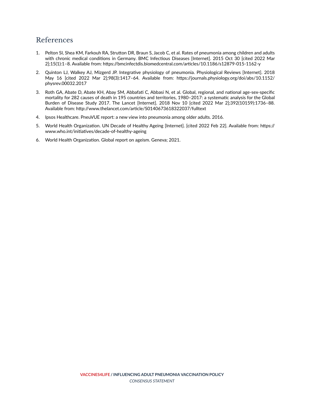# References

- 1. Pelton SI, Shea KM, Farkouh RA, Strutton DR, Braun S, Jacob C, et al. Rates of pneumonia among children and adults with chronic medical conditions in Germany. BMC Infectious Diseases [Internet]. 2015 Oct 30 [cited 2022 Mar 2];15(1):1–8. Available from: https://bmcinfectdis.biomedcentral.com/articles/10.1186/s12879-015-1162-y
- 2. Quinton LJ, Walkey AJ, Mizgerd JP. Integrative physiology of pneumonia. Physiological Reviews [Internet]. 2018 May 16 [cited 2022 Mar 2];98(3):1417–64. Available from: https://journals.physiology.org/doi/abs/10.1152/ physrev.00032.2017
- 3. Roth GA, Abate D, Abate KH, Abay SM, Abbafati C, Abbasi N, et al. Global, regional, and national age-sex-specific mortality for 282 causes of death in 195 countries and territories, 1980–2017: a systematic analysis for the Global Burden of Disease Study 2017. The Lancet [Internet]. 2018 Nov 10 [cited 2022 Mar 2];392(10159):1736–88. Available from: http://www.thelancet.com/article/S0140673618322037/fulltext
- 4. Ipsos Healthcare. PneuVUE report: a new view into pneumonia among older adults. 2016.
- 5. World Health Organization. UN Decade of Healthy Ageing [Internet]. [cited 2022 Feb 22]. Available from: https:// www.who.int/initiatives/decade-of-healthy-ageing
- 6. World Health Organization. Global report on ageism. Geneva; 2021.